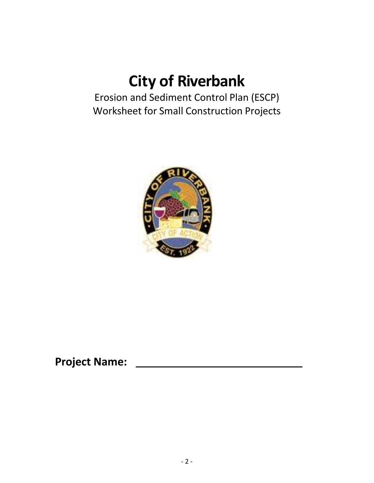# **City of Riverbank**

Erosion and Sediment Control Plan (ESCP) Worksheet for Small Construction Projects



**Project Name:**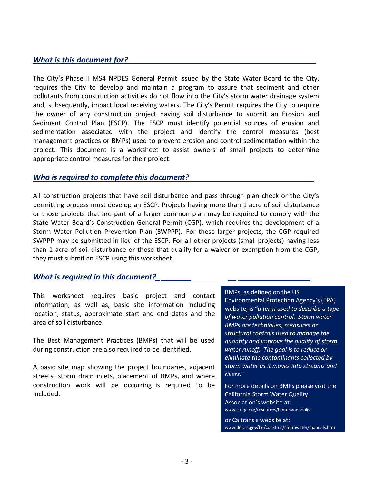## *What is this document for?*

The City's Phase II MS4 NPDES General Permit issued by the State Water Board to the City, requires the City to develop and maintain a program to assure that sediment and other pollutants from construction activities do not flow into the City's storm water drainage system and, subsequently, impact local receiving waters. The City's Permit requires the City to require the owner of any construction project having soil disturbance to submit an Erosion and Sediment Control Plan (ESCP). The ESCP must identify potential sources of erosion and sedimentation associated with the project and identify the control measures (best management practices or BMPs) used to prevent erosion and control sedimentation within the project. This document is a worksheet to assist owners of small projects to determine appropriate control measures for their project.

## *Who is required to complete this document?*

All construction projects that have soil disturbance and pass through plan check or the City's permitting process must develop an ESCP. Projects having more than 1 acre of soil disturbance or those projects that are part of a larger common plan may be required to comply with the State Water Board's Construction General Permit (CGP), which requires the development of a Storm Water Pollution Prevention Plan (SWPPP). For these larger projects, the CGP-required SWPPP may be submitted in lieu of the ESCP. For all other projects (small projects) having less than 1 acre of soil disturbance or those that qualify for a waiver or exemption from the CGP, they must submit an ESCP using this worksheet.

## *What is required in this document?\_*

This worksheet requires basic project and contact information, as well as, basic site information including location, status, approximate start and end dates and the area of soil disturbance.

The Best Management Practices (BMPs) that will be used during construction are also required to be identified.

A basic site map showing the project boundaries, adjacent streets, storm drain inlets, placement of BMPs, and where construction work will be occurring is required to be included.

#### BMPs, as defined on the US

Environmental Protection Agency's (EPA) website, is "*a term used to describe a type of water pollution control. Storm water BMPs are techniques, measures or structural controls used to manage the quantity and improve the quality of storm water runoff. The goal is to reduce or eliminate the contaminants collected by storm water as it moves into streams and rivers.*"

For more details on BMPs please visit the California Storm Water Quality Association's website at: [www.casqa.org/resources/bmp-handbooks](http://www.casqa.org/resources/bmp-handbooks)

or Caltrans's website at: [www.dot.ca.gov/hq/construc/stormwater/manuals.htm](http://www.dot.ca.gov/hq/construc/stormwater/manuals.htm)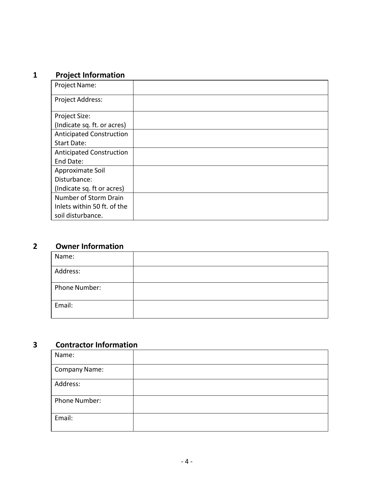# **1 Project Information**

| <b>Project Name:</b>            |  |
|---------------------------------|--|
| Project Address:                |  |
| Project Size:                   |  |
| (Indicate sq. ft. or acres)     |  |
| <b>Anticipated Construction</b> |  |
| <b>Start Date:</b>              |  |
| <b>Anticipated Construction</b> |  |
| End Date:                       |  |
| Approximate Soil                |  |
| Disturbance:                    |  |
| (Indicate sq. ft or acres)      |  |
| Number of Storm Drain           |  |
| Inlets within 50 ft. of the     |  |
| soil disturbance.               |  |

# **2 Owner Information**

| Name:         |  |
|---------------|--|
| Address:      |  |
| Phone Number: |  |
| Email:        |  |

# **3 Contractor Information**

| Name:                |  |
|----------------------|--|
| <b>Company Name:</b> |  |
| Address:             |  |
| Phone Number:        |  |
| Email:               |  |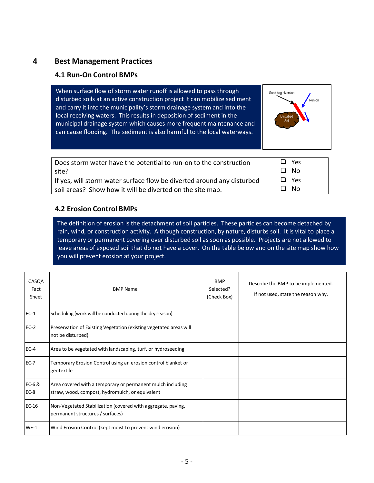## **4 Best Management Practices**

## **4.1 Run-On Control BMPs**

When surface flow of storm water runoff is allowed to pass through disturbed soils at an active construction project it can mobilize sediment and carry it into the municipality's storm drainage system and into the local receiving waters. This results in deposition of sediment in the municipal drainage system which causes more frequent maintenance and can cause flooding. The sediment is also harmful to the local waterways.



| Does storm water have the potential to run-on to the construction      | $\Box$ Yes |
|------------------------------------------------------------------------|------------|
| site?                                                                  | □ No       |
| If yes, will storm water surface flow be diverted around any disturbed | $\Box$ Yes |
| soil areas? Show how it will be diverted on the site map.              | ∩ No       |

## **4.2 Erosion Control BMPs**

The definition of erosion is the detachment of soil particles. These particles can become detached by rain, wind, or construction activity. Although construction, by nature, disturbs soil. It is vital to place a temporary or permanent covering over disturbed soil as soon as possible. Projects are not allowed to leave areas of exposed soil that do not have a cover. On the table below and on the site map show how you will prevent erosion at your project.

| CASQA<br>Fact<br>Sheet | <b>BMP Name</b>                                                                                               | <b>BMP</b><br>Selected?<br>(Check Box) | Describe the BMP to be implemented.<br>If not used, state the reason why. |
|------------------------|---------------------------------------------------------------------------------------------------------------|----------------------------------------|---------------------------------------------------------------------------|
| $EC-1$                 | Scheduling (work will be conducted during the dry season)                                                     |                                        |                                                                           |
| $EC-2$                 | Preservation of Existing Vegetation (existing vegetated areas will<br>not be disturbed)                       |                                        |                                                                           |
| $EC-4$                 | Area to be vegetated with landscaping, turf, or hydroseeding                                                  |                                        |                                                                           |
| $EC-7$                 | Temporary Erosion Control using an erosion control blanket or<br>geotextile                                   |                                        |                                                                           |
| $EC-6$ &<br>$EC-8$     | Area covered with a temporary or permanent mulch including<br>straw, wood, compost, hydromulch, or equivalent |                                        |                                                                           |
| $EC-16$                | Non-Vegetated Stabilization (covered with aggregate, paving,<br>permanent structures / surfaces)              |                                        |                                                                           |
| $WE-1$                 | Wind Erosion Control (kept moist to prevent wind erosion)                                                     |                                        |                                                                           |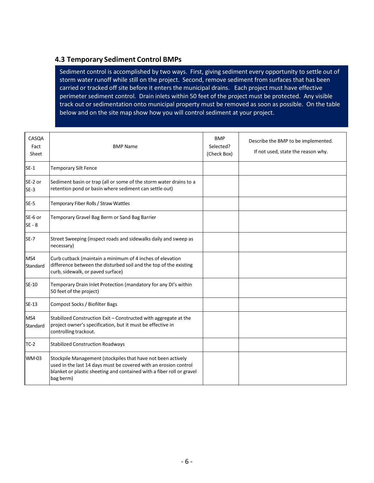#### **4.3 Temporary Sediment Control BMPs**

Sediment control is accomplished by two ways. First, giving sediment every opportunity to settle out of storm water runoff while still on the project. Second, remove sediment from surfaces that has been carried or tracked off site before it enters the municipal drains. Each project must have effective perimeter sediment control. Drain inlets within 50 feet of the project must be protected. Any visible track out or sedimentation onto municipal property must be removed as soon as possible. On the table below and on the site map show how you will control sediment at your project.

| CASQA<br>Fact<br>Sheet | <b>BMP Name</b>                                                                                                                                                                                                        | <b>BMP</b><br>Selected?<br>(Check Box) | Describe the BMP to be implemented.<br>If not used, state the reason why. |
|------------------------|------------------------------------------------------------------------------------------------------------------------------------------------------------------------------------------------------------------------|----------------------------------------|---------------------------------------------------------------------------|
| $SE-1$                 | <b>Temporary Silt Fence</b>                                                                                                                                                                                            |                                        |                                                                           |
| SE-2 or<br>$SE-3$      | Sediment basin or trap (all or some of the storm water drains to a<br>retention pond or basin where sediment can settle out)                                                                                           |                                        |                                                                           |
| $SE-5$                 | Temporary Fiber Rolls / Straw Wattles                                                                                                                                                                                  |                                        |                                                                           |
| SE-6 or<br>$SE - 8$    | Temporary Gravel Bag Berm or Sand Bag Barrier                                                                                                                                                                          |                                        |                                                                           |
| $SE-7$                 | Street Sweeping (inspect roads and sidewalks daily and sweep as<br>necessary)                                                                                                                                          |                                        |                                                                           |
| MS4<br>Standard        | Curb cutback (maintain a minimum of 4 inches of elevation<br>difference between the disturbed soil and the top of the existing<br>curb, sidewalk, or paved surface)                                                    |                                        |                                                                           |
| <b>SE-10</b>           | Temporary Drain Inlet Protection (mandatory for any DI's within<br>50 feet of the project)                                                                                                                             |                                        |                                                                           |
| SE-13                  | Compost Socks / Biofilter Bags                                                                                                                                                                                         |                                        |                                                                           |
| MS4<br>Standard        | Stabilized Construction Exit - Constructed with aggregate at the<br>project owner's specification, but it must be effective in<br>controlling trackout.                                                                |                                        |                                                                           |
| $TC-2$                 | <b>Stabilized Construction Roadways</b>                                                                                                                                                                                |                                        |                                                                           |
| <b>WM-03</b>           | Stockpile Management (stockpiles that have not been actively<br>used in the last 14 days must be covered with an erosion control<br>blanket or plastic sheeting and contained with a fiber roll or gravel<br>bag berm) |                                        |                                                                           |